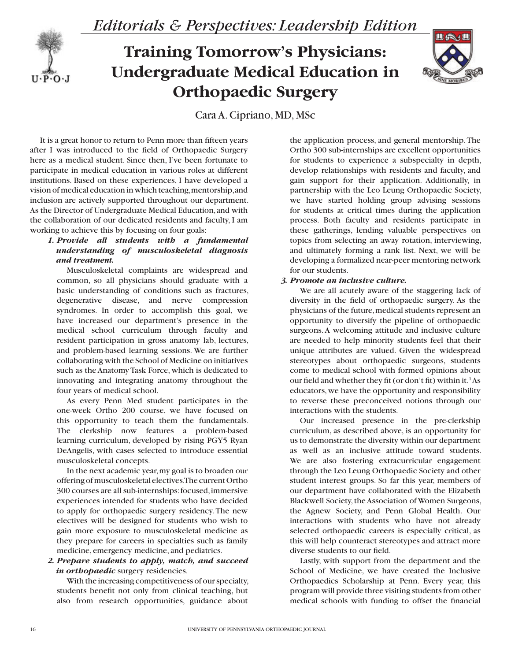

# **Training Tomorrow's Physicians: Undergraduate Medical Education in Orthopaedic Surgery**



Cara A. Cipriano, MD, MSc

It is a great honor to return to Penn more than fifteen years after I was introduced to the field of Orthopaedic Surgery here as a medical student. Since then, I've been fortunate to participate in medical education in various roles at different institutions. Based on these experiences, I have developed a vision of medical education in which teaching, mentorship, and inclusion are actively supported throughout our department. As the Director of Undergraduate Medical Education, and with the collaboration of our dedicated residents and faculty, I am working to achieve this by focusing on four goals:

# *1. Provide all students with a fundamental understanding of musculoskeletal diagnosis and treatment.*

Musculoskeletal complaints are widespread and common, so all physicians should graduate with a basic understanding of conditions such as fractures, degenerative disease, and nerve compression syndromes. In order to accomplish this goal, we have increased our department's presence in the medical school curriculum through faculty and resident participation in gross anatomy lab, lectures, and problem-based learning sessions. We are further collaborating with the School of Medicine on initiatives such as the Anatomy Task Force, which is dedicated to innovating and integrating anatomy throughout the four years of medical school.

As every Penn Med student participates in the one-week Ortho 200 course, we have focused on this opportunity to teach them the fundamentals. The clerkship now features a problem-based learning curriculum, developed by rising PGY5 Ryan DeAngelis, with cases selected to introduce essential musculoskeletal concepts.

In the next academic year, my goal is to broaden our offering of musculoskeletal electives. The current Ortho 300 courses are all sub-internships: focused, immersive experiences intended for students who have decided to apply for orthopaedic surgery residency. The new electives will be designed for students who wish to gain more exposure to musculoskeletal medicine as they prepare for careers in specialties such as family medicine, emergency medicine, and pediatrics.

## *2. Prepare students to apply, match, and succeed in orthopaedic* surgery residencies.

With the increasing competitiveness of our specialty, students benefit not only from clinical teaching, but also from research opportunities, guidance about

the application process, and general mentorship. The Ortho 300 sub-internships are excellent opportunities for students to experience a subspecialty in depth, develop relationships with residents and faculty, and gain support for their application. Additionally, in partnership with the Leo Leung Orthopaedic Society, we have started holding group advising sessions for students at critical times during the application process. Both faculty and residents participate in these gatherings, lending valuable perspectives on topics from selecting an away rotation, interviewing, and ultimately forming a rank list. Next, we will be developing a formalized near-peer mentoring network for our students.

### *3. Promote an inclusive culture.*

We are all acutely aware of the staggering lack of diversity in the field of orthopaedic surgery. As the physicians of the future, medical students represent an opportunity to diversify the pipeline of orthopaedic surgeons. A welcoming attitude and inclusive culture are needed to help minority students feel that their unique attributes are valued. Given the widespread stereotypes about orthopaedic surgeons, students come to medical school with formed opinions about our field and whether they fit (or don't fit) within it.<sup>1</sup>As educators, we have the opportunity and responsibility to reverse these preconceived notions through our interactions with the students.

Our increased presence in the pre-clerkship curriculum, as described above, is an opportunity for us to demonstrate the diversity within our department as well as an inclusive attitude toward students. We are also fostering extracurricular engagement through the Leo Leung Orthopaedic Society and other student interest groups. So far this year, members of our department have collaborated with the Elizabeth Blackwell Society, the Association of Women Surgeons, the Agnew Society, and Penn Global Health. Our interactions with students who have not already selected orthopaedic careers is especially critical, as this will help counteract stereotypes and attract more diverse students to our field.

Lastly, with support from the department and the School of Medicine, we have created the Inclusive Orthopaedics Scholarship at Penn. Every year, this program will provide three visiting students from other medical schools with funding to offset the financial